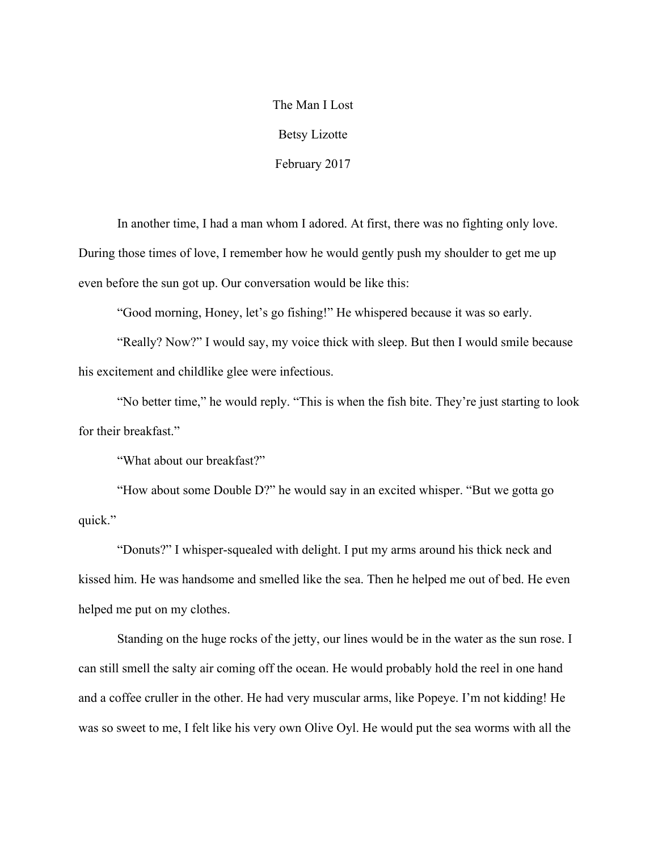The Man I Lost Betsy Lizotte February 2017

In another time, I had a man whom I adored. At first, there was no fighting only love. During those times of love, I remember how he would gently push my shoulder to get me up even before the sun got up. Our conversation would be like this:

"Good morning, Honey, let's go fishing!" He whispered because it was so early.

"Really? Now?" I would say, my voice thick with sleep. But then I would smile because his excitement and childlike glee were infectious.

"No better time," he would reply. "This is when the fish bite. They're just starting to look for their breakfast."

"What about our breakfast?"

"How about some Double D?" he would say in an excited whisper. "But we gotta go quick."

"Donuts?" I whisper-squealed with delight. I put my arms around his thick neck and kissed him. He was handsome and smelled like the sea. Then he helped me out of bed. He even helped me put on my clothes.

Standing on the huge rocks of the jetty, our lines would be in the water as the sun rose. I can still smell the salty air coming off the ocean. He would probably hold the reel in one hand and a coffee cruller in the other. He had very muscular arms, like Popeye. I'm not kidding! He was so sweet to me, I felt like his very own Olive Oyl. He would put the sea worms with all the